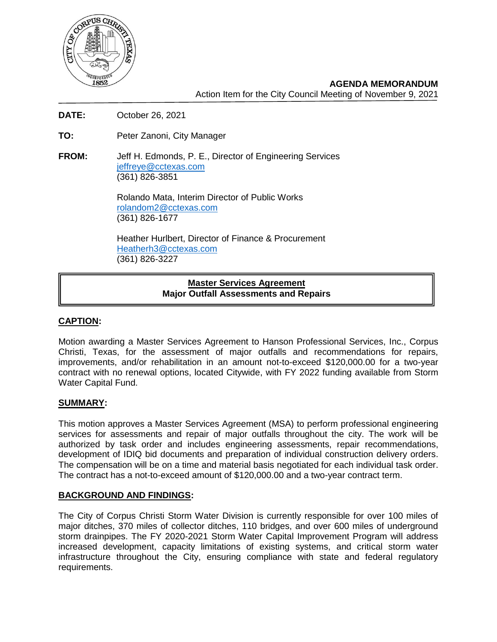

**AGENDA MEMORANDUM** Action Item for the City Council Meeting of November 9, 2021

- **DATE:** October 26, 2021
- **TO:** Peter Zanoni, City Manager
- **FROM:** Jeff H. Edmonds, P. E., Director of Engineering Services [jeffreye@cctexas.com](mailto:jeffreye@cctexas.com) (361) 826-3851

Rolando Mata, Interim Director of Public Works [rolandom2@cctexas.com](mailto:rolandom2@cctexas.com) (361) 826-1677

Heather Hurlbert, Director of Finance & Procurement [Heatherh3@cctexas.com](mailto:Heatherh3@cctexas.com) (361) 826-3227

# **Master Services Agreement Major Outfall Assessments and Repairs**

## **CAPTION:**

Motion awarding a Master Services Agreement to Hanson Professional Services, Inc., Corpus Christi, Texas, for the assessment of major outfalls and recommendations for repairs, improvements, and/or rehabilitation in an amount not-to-exceed \$120,000.00 for a two-year contract with no renewal options, located Citywide, with FY 2022 funding available from Storm Water Capital Fund.

## **SUMMARY:**

This motion approves a Master Services Agreement (MSA) to perform professional engineering services for assessments and repair of major outfalls throughout the city. The work will be authorized by task order and includes engineering assessments, repair recommendations, development of IDIQ bid documents and preparation of individual construction delivery orders. The compensation will be on a time and material basis negotiated for each individual task order. The contract has a not-to-exceed amount of \$120,000.00 and a two-year contract term.

#### **BACKGROUND AND FINDINGS:**

The City of Corpus Christi Storm Water Division is currently responsible for over 100 miles of major ditches, 370 miles of collector ditches, 110 bridges, and over 600 miles of underground storm drainpipes. The FY 2020-2021 Storm Water Capital Improvement Program will address increased development, capacity limitations of existing systems, and critical storm water infrastructure throughout the City, ensuring compliance with state and federal regulatory requirements.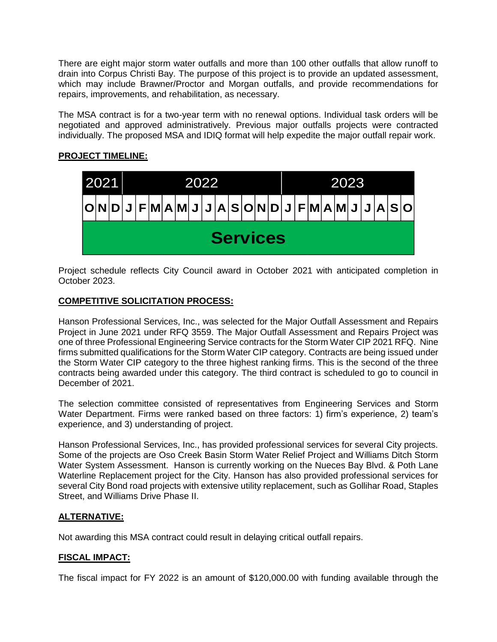There are eight major storm water outfalls and more than 100 other outfalls that allow runoff to drain into Corpus Christi Bay. The purpose of this project is to provide an updated assessment, which may include Brawner/Proctor and Morgan outfalls, and provide recommendations for repairs, improvements, and rehabilitation, as necessary.

The MSA contract is for a two-year term with no renewal options. Individual task orders will be negotiated and approved administratively. Previous major outfalls projects were contracted individually. The proposed MSA and IDIQ format will help expedite the major outfall repair work.

# **PROJECT TIMELINE:**



Project schedule reflects City Council award in October 2021 with anticipated completion in October 2023.

# **COMPETITIVE SOLICITATION PROCESS:**

Hanson Professional Services, Inc., was selected for the Major Outfall Assessment and Repairs Project in June 2021 under RFQ 3559. The Major Outfall Assessment and Repairs Project was one of three Professional Engineering Service contracts for the Storm Water CIP 2021 RFQ. Nine firms submitted qualifications for the Storm Water CIP category. Contracts are being issued under the Storm Water CIP category to the three highest ranking firms. This is the second of the three contracts being awarded under this category. The third contract is scheduled to go to council in December of 2021.

The selection committee consisted of representatives from Engineering Services and Storm Water Department. Firms were ranked based on three factors: 1) firm's experience, 2) team's experience, and 3) understanding of project.

Hanson Professional Services, Inc., has provided professional services for several City projects. Some of the projects are Oso Creek Basin Storm Water Relief Project and Williams Ditch Storm Water System Assessment. Hanson is currently working on the Nueces Bay Blvd. & Poth Lane Waterline Replacement project for the City. Hanson has also provided professional services for several City Bond road projects with extensive utility replacement, such as Gollihar Road, Staples Street, and Williams Drive Phase II.

## **ALTERNATIVE:**

Not awarding this MSA contract could result in delaying critical outfall repairs.

## **FISCAL IMPACT:**

The fiscal impact for FY 2022 is an amount of \$120,000.00 with funding available through the